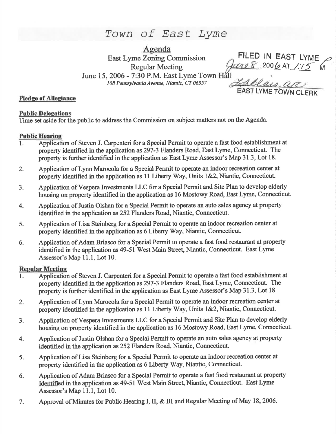Town of East Lyme

Agenda East Lyme Zoning Commission Regular Meeting June 15, 2006 - 7:30 P.M. East Lyme Town Hall 108 Pennsylvania Avenue, Niantic, CT 06357

**ZABLAUS** APC FILED IN EAST LYME<br>2006 AT 1:15 M

## Pledge of Allegiance

#### **Public Delegations**

Time set aside for the public to address the Commission on subject matters not on the Agenda.

## Public Hearine

- l. Application of Steven J. Carpenteri for a Special Permit to operate a fast food establishment at property identified in the application as297-3 Flanders Road, East Lyme, Connecticut. The property is further identified in the application as East Lyme Assessor's Map 31.3, Lot 18.
- 2. Application of Lynn Marocola for a Special Permit to operate an indoor recreation center at property identified in the application as  $11$  Liberty Way, Units 1&2, Niantic, Connecticut.
- 3. Application of Vespera Investments LLC for a Special Permit and Site Plan to develop elderly housing on property identified in the application as 16 Mostowy Road, East Lyme, Connecticut.
- 4. Application of Justin Olshan for a Special Permit to operate an auto sales agency at property identified in the application as 252 Flanders Road, Niantic, Connecticut.
- 5. Application of Lisa Steinberg for a Special Permit to operate an indoor recreation center at property identified in the application as 6 Liberty Way, Niantic, Connecticut.
- 6. Application of Adam Briasco for a Special Permit to operate a fast food restaurant at property identified in the application as 49-51 West Main Street, Niantic, Connecticut. East Lyme Assessor's Map 11.1, Lot 10.

# **Regular Meeting**

- l. Application of Steven J. Carpenteri for a Special Pemrit to operate a fast food establishment at property identified in the application as 297-3 Flanders Road, East Lyme, Connecticut. The property is further identified in the application as East Lyme Assessor's Map 31.3, Lot 18.
- 2. Application of Lynn Marocola for a Special Permit to operate an indoor recreation center at property identified in the application as 11 Liberty Way, Units 1&2, Niantic, Connecticut.
- 3. Application of Vespera Investments LLC for a Special Permit and Site Plan to develop elderly housing on property identified in the application as 16 Mostowy Road, East Lyme, Connecticut.
- 4. Application of Justin Olshan for a Special Permit to operate an auto sales agency at property identified in the application as 252 Flanders Road, Niantic, Connecticut.
- 5. Application of Lisa Steinberg for a Special Permit to operate an indoor recreation center at property identified in the application as 6 Liberty Way, Niantic, Connecticut.
- 6. Application of Adam Briasco for a Special Permit to operate a fast food restaurant at property identified in the application as 49-51 West Main Steet, Niantic, Connecticut. East Lyme Assessor's Map 11.1, Lot 10.
- 7. Approval of Minutes for Public Hearing I, II, & III and Regular Meeting of May 18, 2006.